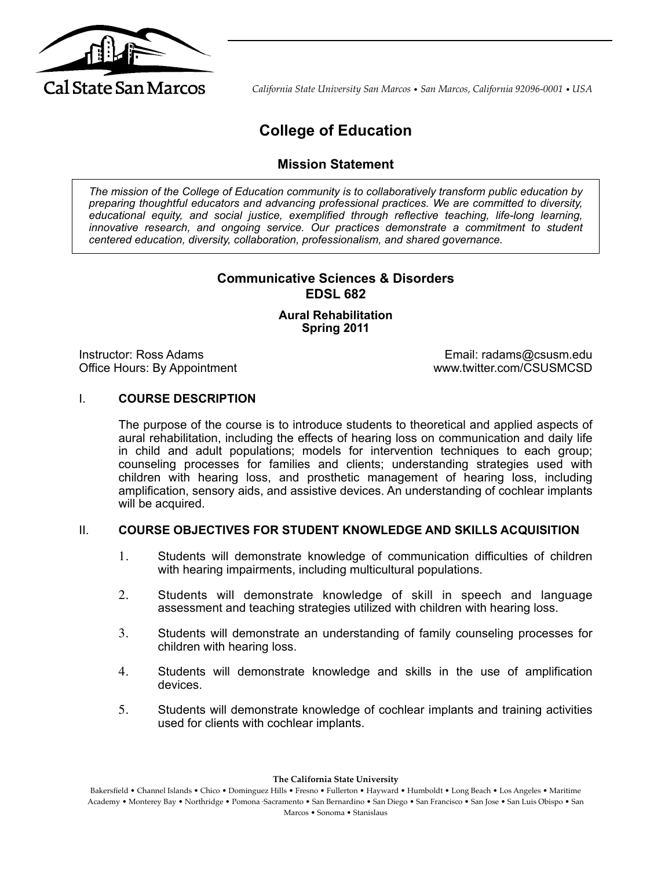

*California State University San Marcos* • *San Marcos, California 92096-0001* • *USA*

# **College of Education**

# **Mission Statement**

*The mission of the College of Education community is to collaboratively transform public education by preparing thoughtful educators and advancing professional practices. We are committed to diversity, educational equity, and social justice, exemplified through reflective teaching, life-long learning,*  innovative research, and ongoing service. Our practices demonstrate a commitment to student *centered education, diversity, collaboration, professionalism, and shared governance.*

# **Communicative Sciences & Disorders EDSL 682**

# **Aural Rehabilitation Spring 2011**

Instructor: Ross Adams Email: radams@csusm.edu Office Hours: By Appointment www.twitter.com/CSUSMCSD

# I. **COURSE DESCRIPTION**

The purpose of the course is to introduce students to theoretical and applied aspects of aural rehabilitation, including the effects of hearing loss on communication and daily life in child and adult populations; models for intervention techniques to each group; counseling processes for families and clients; understanding strategies used with children with hearing loss, and prosthetic management of hearing loss, including amplification, sensory aids, and assistive devices. An understanding of cochlear implants will be acquired.

#### II. **COURSE OBJECTIVES FOR STUDENT KNOWLEDGE AND SKILLS ACQUISITION**

- 1. Students will demonstrate knowledge of communication difficulties of children with hearing impairments, including multicultural populations.
- 2. Students will demonstrate knowledge of skill in speech and language assessment and teaching strategies utilized with children with hearing loss.
- 3. Students will demonstrate an understanding of family counseling processes for children with hearing loss.
- 4. Students will demonstrate knowledge and skills in the use of amplification devices.
- 5. Students will demonstrate knowledge of cochlear implants and training activities used for clients with cochlear implants.

**The California State University**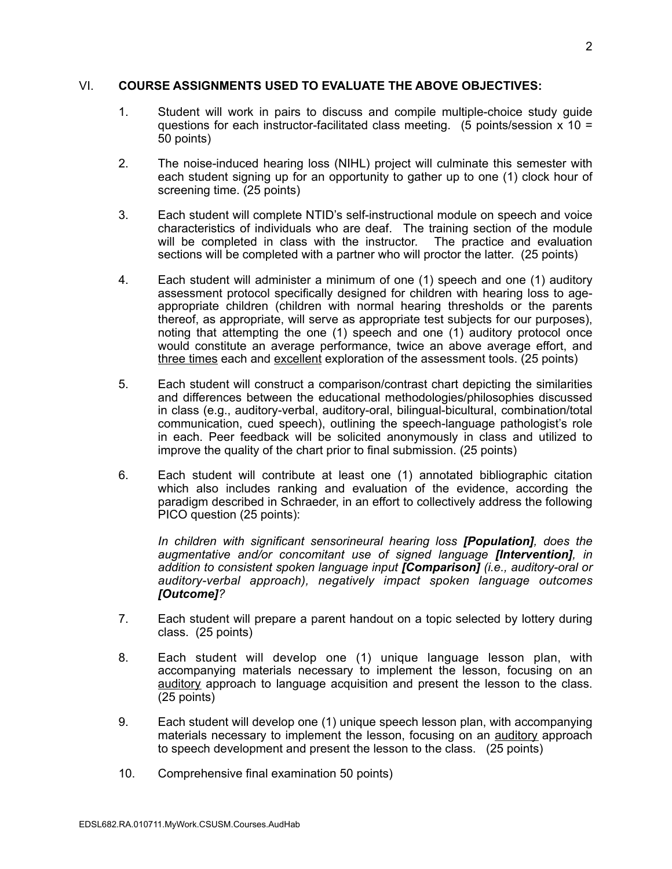### VI. **COURSE ASSIGNMENTS USED TO EVALUATE THE ABOVE OBJECTIVES:**

- 1. Student will work in pairs to discuss and compile multiple-choice study guide questions for each instructor-facilitated class meeting. (5 points/session  $x$  10 = 50 points)
- 2. The noise-induced hearing loss (NIHL) project will culminate this semester with each student signing up for an opportunity to gather up to one (1) clock hour of screening time. (25 points)
- 3. Each student will complete NTID's self-instructional module on speech and voice characteristics of individuals who are deaf. The training section of the module will be completed in class with the instructor. The practice and evaluation sections will be completed with a partner who will proctor the latter. (25 points)
- 4. Each student will administer a minimum of one (1) speech and one (1) auditory assessment protocol specifically designed for children with hearing loss to ageappropriate children (children with normal hearing thresholds or the parents thereof, as appropriate, will serve as appropriate test subjects for our purposes), noting that attempting the one (1) speech and one (1) auditory protocol once would constitute an average performance, twice an above average effort, and three times each and excellent exploration of the assessment tools. (25 points)
- 5. Each student will construct a comparison/contrast chart depicting the similarities and differences between the educational methodologies/philosophies discussed in class (e.g., auditory-verbal, auditory-oral, bilingual-bicultural, combination/total communication, cued speech), outlining the speech-language pathologist's role in each. Peer feedback will be solicited anonymously in class and utilized to improve the quality of the chart prior to final submission. (25 points)
- 6. Each student will contribute at least one (1) annotated bibliographic citation which also includes ranking and evaluation of the evidence, according the paradigm described in Schraeder, in an effort to collectively address the following PICO question (25 points):

*In children with significant sensorineural hearing loss [Population], does the augmentative and/or concomitant use of signed language [Intervention], in addition to consistent spoken language input [Comparison] (i.e., auditory-oral or auditory-verbal approach), negatively impact spoken language outcomes [Outcome]?* 

- 7. Each student will prepare a parent handout on a topic selected by lottery during class. (25 points)
- 8. Each student will develop one (1) unique language lesson plan, with accompanying materials necessary to implement the lesson, focusing on an auditory approach to language acquisition and present the lesson to the class. (25 points)
- 9. Each student will develop one (1) unique speech lesson plan, with accompanying materials necessary to implement the lesson, focusing on an auditory approach to speech development and present the lesson to the class. (25 points)
- 10. Comprehensive final examination 50 points)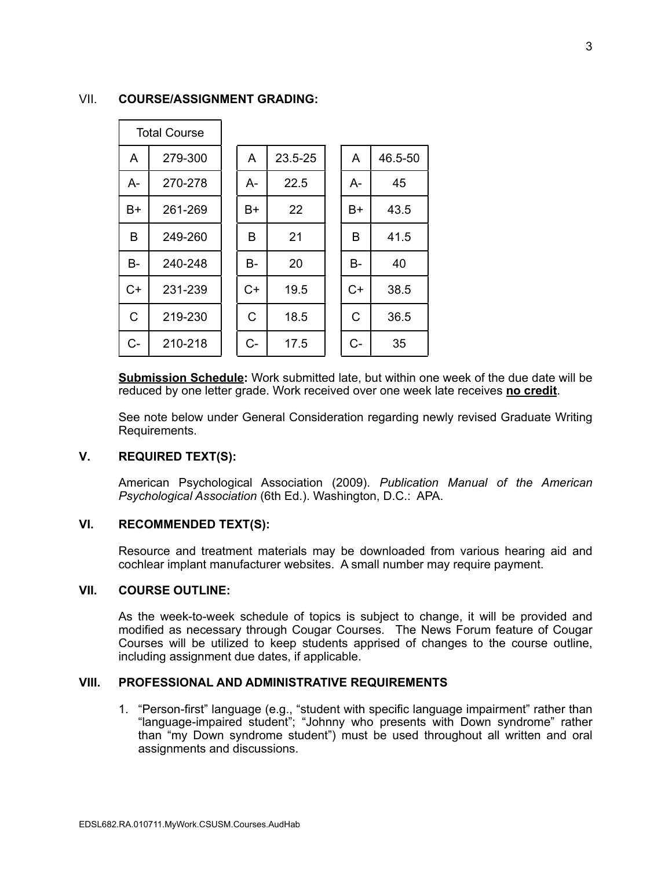# VII. **COURSE/ASSIGNMENT GRADING:**

| <b>Total Course</b> |         |      |         |      |         |
|---------------------|---------|------|---------|------|---------|
| A                   | 279-300 | A    | 23.5-25 | A    | 46.5-50 |
| A-                  | 270-278 | A-   | 22.5    | A-   | 45      |
| $B+$                | 261-269 | B+   | 22      | B+   | 43.5    |
| B                   | 249-260 | B    | 21      | B    | 41.5    |
| B-                  | 240-248 | B-   | 20      | B-   | 40      |
| $C+$                | 231-239 | $C+$ | 19.5    | $C+$ | 38.5    |
| C                   | 219-230 | C    | 18.5    | C    | 36.5    |
| $C -$               | 210-218 | C-   | 17.5    | C-   | 35      |

**Submission Schedule:** Work submitted late, but within one week of the due date will be reduced by one letter grade. Work received over one week late receives **no credit**.

See note below under General Consideration regarding newly revised Graduate Writing Requirements.

#### **V. REQUIRED TEXT(S):**

American Psychological Association (2009). *Publication Manual of the American Psychological Association* (6th Ed.). Washington, D.C.: APA.

# **VI. RECOMMENDED TEXT(S):**

Resource and treatment materials may be downloaded from various hearing aid and cochlear implant manufacturer websites. A small number may require payment.

#### **VII. COURSE OUTLINE:**

As the week-to-week schedule of topics is subject to change, it will be provided and modified as necessary through Cougar Courses. The News Forum feature of Cougar Courses will be utilized to keep students apprised of changes to the course outline, including assignment due dates, if applicable.

### **VIII. PROFESSIONAL AND ADMINISTRATIVE REQUIREMENTS**

1. "Person-first" language (e.g., "student with specific language impairment" rather than "language-impaired student"; "Johnny who presents with Down syndrome" rather than "my Down syndrome student") must be used throughout all written and oral assignments and discussions.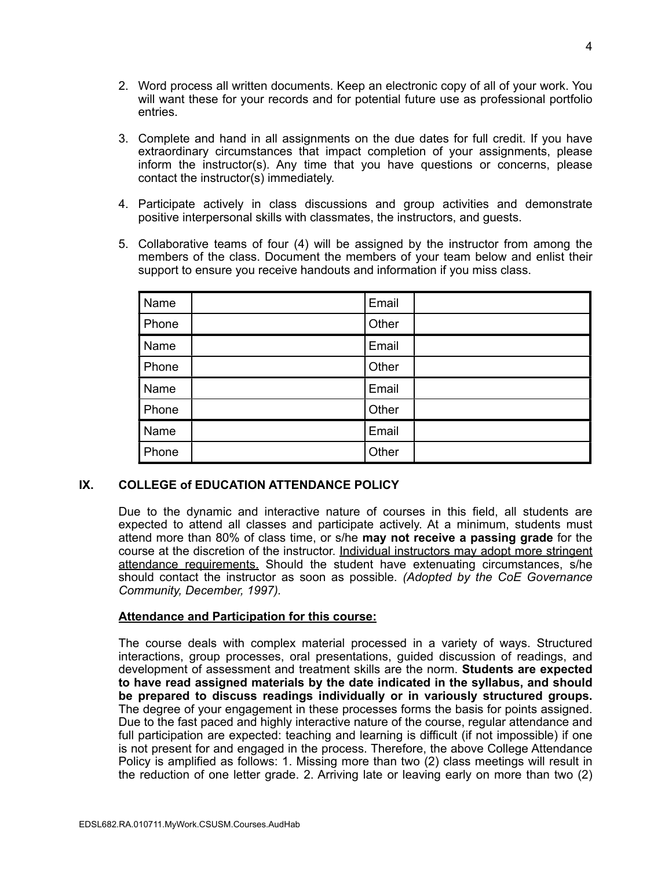- 2. Word process all written documents. Keep an electronic copy of all of your work. You will want these for your records and for potential future use as professional portfolio entries.
- 3. Complete and hand in all assignments on the due dates for full credit. If you have extraordinary circumstances that impact completion of your assignments, please inform the instructor(s). Any time that you have questions or concerns, please contact the instructor(s) immediately.
- 4. Participate actively in class discussions and group activities and demonstrate positive interpersonal skills with classmates, the instructors, and guests.
- 5. Collaborative teams of four (4) will be assigned by the instructor from among the members of the class. Document the members of your team below and enlist their support to ensure you receive handouts and information if you miss class.

| Name  | Email |  |
|-------|-------|--|
| Phone | Other |  |
| Name  | Email |  |
| Phone | Other |  |
| Name  | Email |  |
| Phone | Other |  |
| Name  | Email |  |
| Phone | Other |  |

# **IX. COLLEGE of EDUCATION ATTENDANCE POLICY**

Due to the dynamic and interactive nature of courses in this field, all students are expected to attend all classes and participate actively. At a minimum, students must attend more than 80% of class time, or s/he **may not receive a passing grade** for the course at the discretion of the instructor. Individual instructors may adopt more stringent attendance requirements. Should the student have extenuating circumstances, s/he should contact the instructor as soon as possible. *(Adopted by the CoE Governance Community, December, 1997).*

#### **Attendance and Participation for this course:**

The course deals with complex material processed in a variety of ways. Structured interactions, group processes, oral presentations, guided discussion of readings, and development of assessment and treatment skills are the norm. **Students are expected to have read assigned materials by the date indicated in the syllabus, and should be prepared to discuss readings individually or in variously structured groups.** The degree of your engagement in these processes forms the basis for points assigned. Due to the fast paced and highly interactive nature of the course, regular attendance and full participation are expected: teaching and learning is difficult (if not impossible) if one is not present for and engaged in the process. Therefore, the above College Attendance Policy is amplified as follows: 1. Missing more than two (2) class meetings will result in the reduction of one letter grade. 2. Arriving late or leaving early on more than two (2)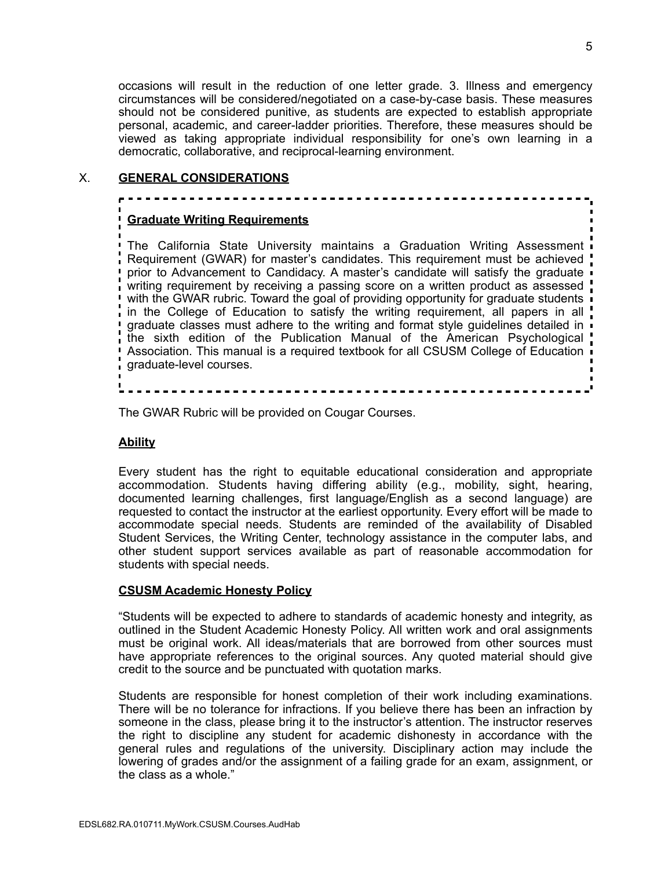occasions will result in the reduction of one letter grade. 3. Illness and emergency circumstances will be considered/negotiated on a case-by-case basis. These measures should not be considered punitive, as students are expected to establish appropriate personal, academic, and career-ladder priorities. Therefore, these measures should be viewed as taking appropriate individual responsibility for one's own learning in a democratic, collaborative, and reciprocal-learning environment.

# X. **GENERAL CONSIDERATIONS**

# **Graduate Writing Requirements**

**The California State University maintains a Graduation Writing Assessment** Requirement (GWAR) for master's candidates. This requirement must be achieved prior to Advancement to Candidacy. A master's candidate will satisfy the graduate writing requirement by receiving a passing score on a written product as assessed with the GWAR rubric. Toward the goal of providing opportunity for graduate students in the College of Education to satisfy the writing requirement, all papers in all graduate classes must adhere to the writing and format style guidelines detailed in the sixth edition of the Publication Manual of the American Psychological Association. This manual is a required textbook for all CSUSM College of Education graduate-level courses.

The GWAR Rubric will be provided on Cougar Courses.

# **Ability**

Every student has the right to equitable educational consideration and appropriate accommodation. Students having differing ability (e.g., mobility, sight, hearing, documented learning challenges, first language/English as a second language) are requested to contact the instructor at the earliest opportunity. Every effort will be made to accommodate special needs. Students are reminded of the availability of Disabled Student Services, the Writing Center, technology assistance in the computer labs, and other student support services available as part of reasonable accommodation for students with special needs.

#### **CSUSM Academic Honesty Policy**

"Students will be expected to adhere to standards of academic honesty and integrity, as outlined in the Student Academic Honesty Policy. All written work and oral assignments must be original work. All ideas/materials that are borrowed from other sources must have appropriate references to the original sources. Any quoted material should give credit to the source and be punctuated with quotation marks.

Students are responsible for honest completion of their work including examinations. There will be no tolerance for infractions. If you believe there has been an infraction by someone in the class, please bring it to the instructor's attention. The instructor reserves the right to discipline any student for academic dishonesty in accordance with the general rules and regulations of the university. Disciplinary action may include the lowering of grades and/or the assignment of a failing grade for an exam, assignment, or the class as a whole."